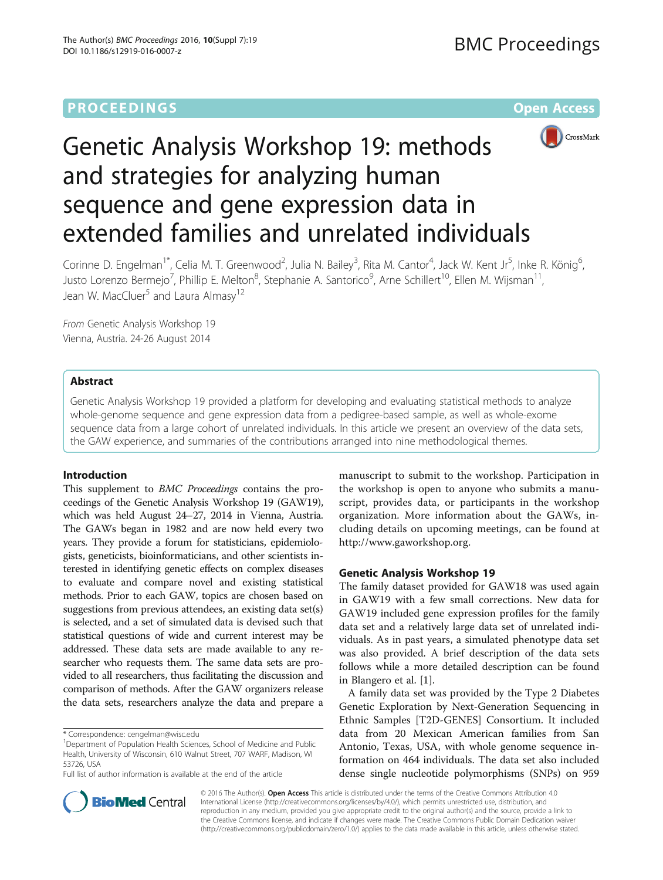## **PROCEEDINGS STATE ACCESS CONSUMING S** Open Access



# Genetic Analysis Workshop 19: methods and strategies for analyzing human sequence and gene expression data in extended families and unrelated individuals

Corinne D. Engelman<sup>1\*</sup>, Celia M. T. Greenwood<sup>2</sup>, Julia N. Bailey<sup>3</sup>, Rita M. Cantor<sup>4</sup>, Jack W. Kent Jr<sup>5</sup>, Inke R. König<sup>6</sup> י<br>, Justo Lorenzo Bermejo<sup>7</sup>, Phillip E. Melton<sup>8</sup>, Stephanie A. Santorico<sup>9</sup>, Arne Schillert<sup>10</sup>, Ellen M. Wijsman<sup>11</sup>, Jean W. MacCluer<sup>5</sup> and Laura Almasy<sup>12</sup>

From Genetic Analysis Workshop 19 Vienna, Austria. 24-26 August 2014

## Abstract

Genetic Analysis Workshop 19 provided a platform for developing and evaluating statistical methods to analyze whole-genome sequence and gene expression data from a pedigree-based sample, as well as whole-exome sequence data from a large cohort of unrelated individuals. In this article we present an overview of the data sets, the GAW experience, and summaries of the contributions arranged into nine methodological themes.

## Introduction

This supplement to BMC Proceedings contains the proceedings of the Genetic Analysis Workshop 19 (GAW19), which was held August 24–27, 2014 in Vienna, Austria. The GAWs began in 1982 and are now held every two years. They provide a forum for statisticians, epidemiologists, geneticists, bioinformaticians, and other scientists interested in identifying genetic effects on complex diseases to evaluate and compare novel and existing statistical methods. Prior to each GAW, topics are chosen based on suggestions from previous attendees, an existing data set(s) is selected, and a set of simulated data is devised such that statistical questions of wide and current interest may be addressed. These data sets are made available to any researcher who requests them. The same data sets are provided to all researchers, thus facilitating the discussion and comparison of methods. After the GAW organizers release the data sets, researchers analyze the data and prepare a

manuscript to submit to the workshop. Participation in the workshop is open to anyone who submits a manuscript, provides data, or participants in the workshop organization. More information about the GAWs, including details on upcoming meetings, can be found at [http://www.gaworkshop.org.](http://www.gaworkshop.org)

## Genetic Analysis Workshop 19

The family dataset provided for GAW18 was used again in GAW19 with a few small corrections. New data for GAW19 included gene expression profiles for the family data set and a relatively large data set of unrelated individuals. As in past years, a simulated phenotype data set was also provided. A brief description of the data sets follows while a more detailed description can be found in Blangero et al. [\[1](#page-3-0)].

A family data set was provided by the Type 2 Diabetes Genetic Exploration by Next-Generation Sequencing in Ethnic Samples [T2D-GENES] Consortium. It included data from 20 Mexican American families from San Antonio, Texas, USA, with whole genome sequence information on 464 individuals. The data set also included dense single nucleotide polymorphisms (SNPs) on 959



© 2016 The Author(s). Open Access This article is distributed under the terms of the Creative Commons Attribution 4.0 International License [\(http://creativecommons.org/licenses/by/4.0/](http://creativecommons.org/licenses/by/4.0/)), which permits unrestricted use, distribution, and reproduction in any medium, provided you give appropriate credit to the original author(s) and the source, provide a link to the Creative Commons license, and indicate if changes were made. The Creative Commons Public Domain Dedication waiver [\(http://creativecommons.org/publicdomain/zero/1.0/](http://creativecommons.org/publicdomain/zero/1.0/)) applies to the data made available in this article, unless otherwise stated.

<sup>\*</sup> Correspondence: [cengelman@wisc.edu](mailto:cengelman@wisc.edu) <sup>1</sup>

<sup>&</sup>lt;sup>1</sup>Department of Population Health Sciences, School of Medicine and Public Health, University of Wisconsin, 610 Walnut Street, 707 WARF, Madison, WI 53726, USA

Full list of author information is available at the end of the article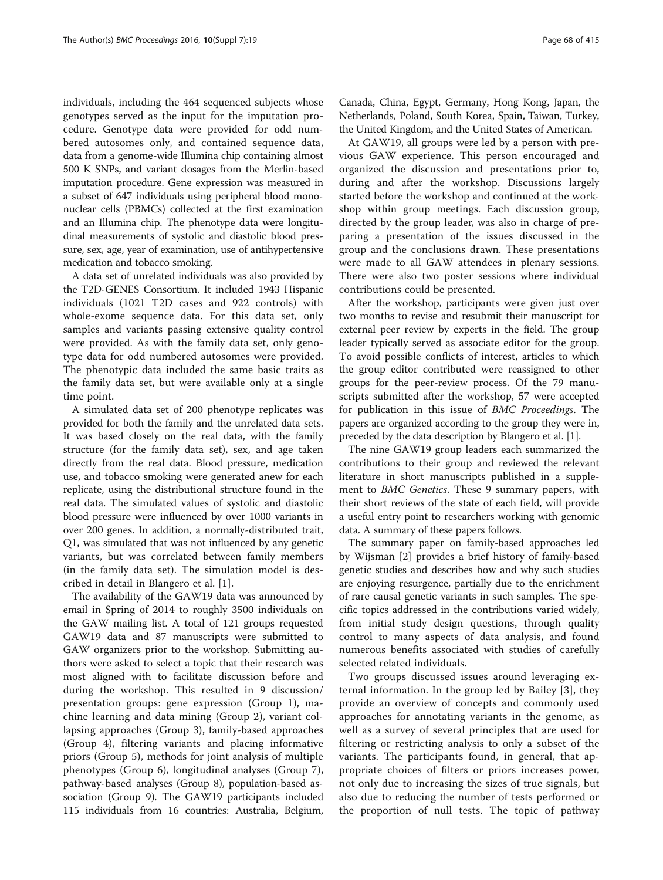individuals, including the 464 sequenced subjects whose genotypes served as the input for the imputation procedure. Genotype data were provided for odd numbered autosomes only, and contained sequence data, data from a genome-wide Illumina chip containing almost 500 K SNPs, and variant dosages from the Merlin-based imputation procedure. Gene expression was measured in a subset of 647 individuals using peripheral blood mononuclear cells (PBMCs) collected at the first examination and an Illumina chip. The phenotype data were longitudinal measurements of systolic and diastolic blood pressure, sex, age, year of examination, use of antihypertensive medication and tobacco smoking.

A data set of unrelated individuals was also provided by the T2D-GENES Consortium. It included 1943 Hispanic individuals (1021 T2D cases and 922 controls) with whole-exome sequence data. For this data set, only samples and variants passing extensive quality control were provided. As with the family data set, only genotype data for odd numbered autosomes were provided. The phenotypic data included the same basic traits as the family data set, but were available only at a single time point.

A simulated data set of 200 phenotype replicates was provided for both the family and the unrelated data sets. It was based closely on the real data, with the family structure (for the family data set), sex, and age taken directly from the real data. Blood pressure, medication use, and tobacco smoking were generated anew for each replicate, using the distributional structure found in the real data. The simulated values of systolic and diastolic blood pressure were influenced by over 1000 variants in over 200 genes. In addition, a normally-distributed trait, Q1, was simulated that was not influenced by any genetic variants, but was correlated between family members (in the family data set). The simulation model is described in detail in Blangero et al. [[1](#page-3-0)].

The availability of the GAW19 data was announced by email in Spring of 2014 to roughly 3500 individuals on the GAW mailing list. A total of 121 groups requested GAW19 data and 87 manuscripts were submitted to GAW organizers prior to the workshop. Submitting authors were asked to select a topic that their research was most aligned with to facilitate discussion before and during the workshop. This resulted in 9 discussion/ presentation groups: gene expression (Group 1), machine learning and data mining (Group 2), variant collapsing approaches (Group 3), family-based approaches (Group 4), filtering variants and placing informative priors (Group 5), methods for joint analysis of multiple phenotypes (Group 6), longitudinal analyses (Group 7), pathway-based analyses (Group 8), population-based association (Group 9). The GAW19 participants included 115 individuals from 16 countries: Australia, Belgium,

Canada, China, Egypt, Germany, Hong Kong, Japan, the Netherlands, Poland, South Korea, Spain, Taiwan, Turkey, the United Kingdom, and the United States of American.

At GAW19, all groups were led by a person with previous GAW experience. This person encouraged and organized the discussion and presentations prior to, during and after the workshop. Discussions largely started before the workshop and continued at the workshop within group meetings. Each discussion group, directed by the group leader, was also in charge of preparing a presentation of the issues discussed in the group and the conclusions drawn. These presentations were made to all GAW attendees in plenary sessions. There were also two poster sessions where individual contributions could be presented.

After the workshop, participants were given just over two months to revise and resubmit their manuscript for external peer review by experts in the field. The group leader typically served as associate editor for the group. To avoid possible conflicts of interest, articles to which the group editor contributed were reassigned to other groups for the peer-review process. Of the 79 manuscripts submitted after the workshop, 57 were accepted for publication in this issue of BMC Proceedings. The papers are organized according to the group they were in, preceded by the data description by Blangero et al. [\[1](#page-3-0)].

The nine GAW19 group leaders each summarized the contributions to their group and reviewed the relevant literature in short manuscripts published in a supplement to BMC Genetics. These 9 summary papers, with their short reviews of the state of each field, will provide a useful entry point to researchers working with genomic data. A summary of these papers follows.

The summary paper on family-based approaches led by Wijsman [[2\]](#page-3-0) provides a brief history of family-based genetic studies and describes how and why such studies are enjoying resurgence, partially due to the enrichment of rare causal genetic variants in such samples. The specific topics addressed in the contributions varied widely, from initial study design questions, through quality control to many aspects of data analysis, and found numerous benefits associated with studies of carefully selected related individuals.

Two groups discussed issues around leveraging external information. In the group led by Bailey [[3\]](#page-3-0), they provide an overview of concepts and commonly used approaches for annotating variants in the genome, as well as a survey of several principles that are used for filtering or restricting analysis to only a subset of the variants. The participants found, in general, that appropriate choices of filters or priors increases power, not only due to increasing the sizes of true signals, but also due to reducing the number of tests performed or the proportion of null tests. The topic of pathway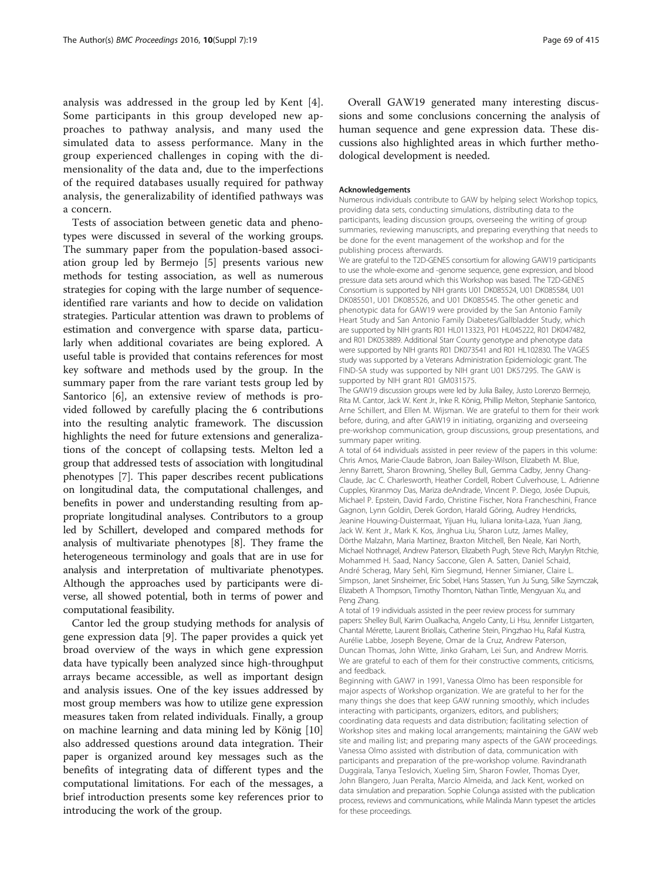analysis was addressed in the group led by Kent [[4](#page-3-0)]. Some participants in this group developed new approaches to pathway analysis, and many used the simulated data to assess performance. Many in the group experienced challenges in coping with the dimensionality of the data and, due to the imperfections of the required databases usually required for pathway analysis, the generalizability of identified pathways was a concern.

Tests of association between genetic data and phenotypes were discussed in several of the working groups. The summary paper from the population-based association group led by Bermejo [[5\]](#page-3-0) presents various new methods for testing association, as well as numerous strategies for coping with the large number of sequenceidentified rare variants and how to decide on validation strategies. Particular attention was drawn to problems of estimation and convergence with sparse data, particularly when additional covariates are being explored. A useful table is provided that contains references for most key software and methods used by the group. In the summary paper from the rare variant tests group led by Santorico [[6\]](#page-3-0), an extensive review of methods is provided followed by carefully placing the 6 contributions into the resulting analytic framework. The discussion highlights the need for future extensions and generalizations of the concept of collapsing tests. Melton led a group that addressed tests of association with longitudinal phenotypes [\[7](#page-3-0)]. This paper describes recent publications on longitudinal data, the computational challenges, and benefits in power and understanding resulting from appropriate longitudinal analyses. Contributors to a group led by Schillert, developed and compared methods for analysis of multivariate phenotypes [\[8](#page-3-0)]. They frame the heterogeneous terminology and goals that are in use for analysis and interpretation of multivariate phenotypes. Although the approaches used by participants were diverse, all showed potential, both in terms of power and computational feasibility.

Cantor led the group studying methods for analysis of gene expression data [[9\]](#page-3-0). The paper provides a quick yet broad overview of the ways in which gene expression data have typically been analyzed since high-throughput arrays became accessible, as well as important design and analysis issues. One of the key issues addressed by most group members was how to utilize gene expression measures taken from related individuals. Finally, a group on machine learning and data mining led by König [[10](#page-3-0)] also addressed questions around data integration. Their paper is organized around key messages such as the benefits of integrating data of different types and the computational limitations. For each of the messages, a brief introduction presents some key references prior to introducing the work of the group.

Overall GAW19 generated many interesting discussions and some conclusions concerning the analysis of human sequence and gene expression data. These discussions also highlighted areas in which further methodological development is needed.

#### Acknowledgements

Numerous individuals contribute to GAW by helping select Workshop topics, providing data sets, conducting simulations, distributing data to the participants, leading discussion groups, overseeing the writing of group summaries, reviewing manuscripts, and preparing everything that needs to be done for the event management of the workshop and for the publishing process afterwards.

We are grateful to the T2D-GENES consortium for allowing GAW19 participants to use the whole-exome and -genome sequence, gene expression, and blood pressure data sets around which this Workshop was based. The T2D-GENES Consortium is supported by NIH grants U01 DK085524, U01 DK085584, U01 DK085501, U01 DK085526, and U01 DK085545. The other genetic and phenotypic data for GAW19 were provided by the San Antonio Family Heart Study and San Antonio Family Diabetes/Gallbladder Study, which are supported by NIH grants R01 HL0113323, P01 HL045222, R01 DK047482, and R01 DK053889. Additional Starr County genotype and phenotype data were supported by NIH grants R01 DK073541 and R01 HL102830. The VAGES study was supported by a Veterans Administration Epidemiologic grant. The FIND-SA study was supported by NIH grant U01 DK57295. The GAW is supported by NIH grant R01 GM031575.

The GAW19 discussion groups were led by Julia Bailey, Justo Lorenzo Bermejo, Rita M. Cantor, Jack W. Kent Jr., Inke R. König, Phillip Melton, Stephanie Santorico, Arne Schillert, and Ellen M. Wijsman. We are grateful to them for their work before, during, and after GAW19 in initiating, organizing and overseeing pre-workshop communication, group discussions, group presentations, and summary paper writing.

A total of 64 individuals assisted in peer review of the papers in this volume: Chris Amos, Marie-Claude Babron, Joan Bailey-Wilson, Elizabeth M. Blue, Jenny Barrett, Sharon Browning, Shelley Bull, Gemma Cadby, Jenny Chang-Claude, Jac C. Charlesworth, Heather Cordell, Robert Culverhouse, L. Adrienne Cupples, Kiranmoy Das, Mariza deAndrade, Vincent P. Diego, Josée Dupuis, Michael P. Epstein, David Fardo, Christine Fischer, Nora Francheschini, France Gagnon, Lynn Goldin, Derek Gordon, Harald Göring, Audrey Hendricks, Jeanine Houwing-Duistermaat, Yijuan Hu, Iuliana Ionita-Laza, Yuan Jiang, Jack W. Kent Jr., Mark K. Kos, Jinghua Liu, Sharon Lutz, James Malley, Dörthe Malzahn, Maria Martinez, Braxton Mitchell, Ben Neale, Kari North, Michael Nothnagel, Andrew Paterson, Elizabeth Pugh, Steve Rich, Marylyn Ritchie, Mohammed H. Saad, Nancy Saccone, Glen A. Satten, Daniel Schaid, André Scherag, Mary Sehl, Kim Siegmund, Henner Simianer, Claire L. Simpson, Janet Sinsheimer, Eric Sobel, Hans Stassen, Yun Ju Sung, Silke Szymczak, Elizabeth A Thompson, Timothy Thornton, Nathan Tintle, Mengyuan Xu, and Peng Zhang.

A total of 19 individuals assisted in the peer review process for summary papers: Shelley Bull, Karim Oualkacha, Angelo Canty, Li Hsu, Jennifer Listgarten, Chantal Mérette, Laurent Briollais, Catherine Stein, Pingzhao Hu, Rafal Kustra, Aurélie Labbe, Joseph Beyene, Omar de la Cruz, Andrew Paterson, Duncan Thomas, John Witte, Jinko Graham, Lei Sun, and Andrew Morris. We are grateful to each of them for their constructive comments, criticisms, and feedback.

Beginning with GAW7 in 1991, Vanessa Olmo has been responsible for major aspects of Workshop organization. We are grateful to her for the many things she does that keep GAW running smoothly, which includes interacting with participants, organizers, editors, and publishers; coordinating data requests and data distribution; facilitating selection of Workshop sites and making local arrangements; maintaining the GAW web site and mailing list; and preparing many aspects of the GAW proceedings. Vanessa Olmo assisted with distribution of data, communication with participants and preparation of the pre-workshop volume. Ravindranath Duggirala, Tanya Teslovich, Xueling Sim, Sharon Fowler, Thomas Dyer, John Blangero, Juan Peralta, Marcio Almeida, and Jack Kent, worked on data simulation and preparation. Sophie Colunga assisted with the publication process, reviews and communications, while Malinda Mann typeset the articles for these proceedings.